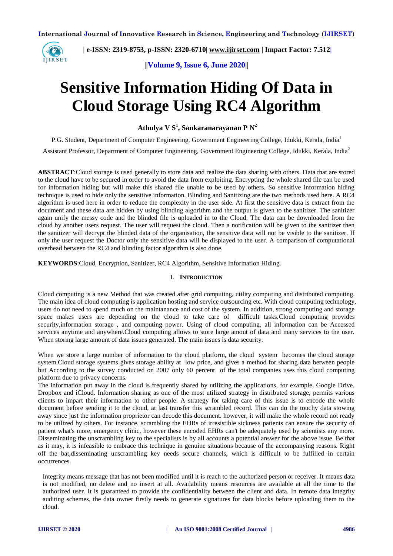

 **| e-ISSN: 2319-8753, p-ISSN: 2320-6710| [www.ijirset.com](http://www.ijirset.com/) | Impact Factor: 7.512|**

**||Volume 9, Issue 6, June 2020||** 

# **Sensitive Information Hiding Of Data in Cloud Storage Using RC4 Algorithm**

**Athulya V S<sup>1</sup> , Sankaranarayanan P N<sup>2</sup>**

P.G. Student, Department of Computer Engineering, Government Engineering College, Idukki, Kerala, India<sup>1</sup>

Assistant Professor, Department of Computer Engineering, Government Engineering College, Idukki, Kerala, India<sup>2</sup>

**ABSTRACT**:Cloud storage is used generally to store data and realize the data sharing with others. Data that are stored to the cloud have to be secured in order to avoid the data from exploiting. Encrypting the whole shared file can be used for information hiding but will make this shared file unable to be used by others. So sensitive information hiding technique is used to hide only the sensitive information. Blinding and Sanitizing are the two methods used here. A RC4 algorithm is used here in order to reduce the complexity in the user side. At first the sensitive data is extract from the document and these data are hidden by using blinding algorithm and the output is given to the sanitizer. The sanitizer again unify the messy code and the blinded file is uploaded in to the Cloud. The data can be downloaded from the cloud by another users request. The user will request the cloud. Then a notification will be given to the sanitizer then the sanitizer will decrypt the blinded data of the organisation, the sensitive data will not be visible to the sanitizer. If only the user request the Doctor only the sensitive data will be displayed to the user. A comparison of computational overhead between the RC4 and blinding factor algorithm is also done.

**KEYWORDS**:Cloud, Encryption, Sanitizer, RC4 Algorithm, Sensitive Information Hiding.

# I. **INTRODUCTION**

Cloud computing is a new Method that was created after grid computing, utility computing and distributed computing. The main idea of cloud computing is application hosting and service outsourcing etc. With cloud computing technology, users do not need to spend much on the maintanance and cost of the system. In addition, strong computing and storage space makes users are depending on the cloud to take care of difficult tasks.Cloud computing provides security,information storage , and computing power. Using of cloud computing, all information can be Accessed services anytime and anywhere.Cloud computing allows to store large amout of data and many services to the user. When storing large amount of data issues generated. The main issues is data security.

When we store a large number of information to the cloud platform, the cloud system becomes the cloud storage system.Cloud storage systems gives storage ability at low price, and gives a method for sharing data between people but According to the survey conducted on 2007 only 60 percent of the total companies uses this cloud computing platform due to privacy concerns.

The information put away in the cloud is frequently shared by utilizing the applications, for example, Google Drive, Dropbox and iCloud. Information sharing as one of the most utilized strategy in distributed storage, permits various clients to impart their information to other people. A strategy for taking care of this issue is to encode the whole document before sending it to the cloud, at last transfer this scrambled record. This can do the touchy data stowing away since just the information proprietor can decode this document. however, it will make the whole record not ready to be utilized by others. For instance, scrambling the EHRs of irresistible sickness patients can ensure the security of patient what's more, emergency clinic, however these encoded EHRs can't be adequately used by scientists any more. Disseminating the unscrambling key to the specialists is by all accounts a potential answer for the above issue. Be that as it may, it is infeasible to embrace this technique in genuine situations because of the accompanying reasons. Right off the bat,disseminating unscrambling key needs secure channels, which is difficult to be fulfilled in certain occurrences.

Integrity means message that has not been modified until it is reach to the authorized person or receiver. It means data is not modified, no delete and no insert at all. Availability means resources are available at all the time to the authorized user. It is guaranteed to provide the confidentiality between the client and data. In remote data integrity auditing schemes, the data owner firstly needs to generate signatures for data blocks before uploading them to the cloud.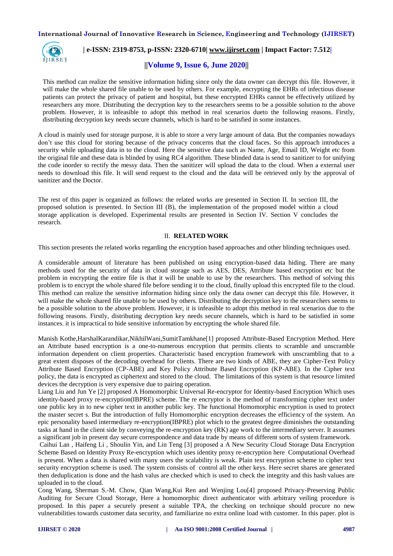

# **| e-ISSN: 2319-8753, p-ISSN: 2320-6710| [www.ijirset.com](http://www.ijirset.com/) | Impact Factor: 7.512|**

# **||Volume 9, Issue 6, June 2020||**

This method can realize the sensitive information hiding since only the data owner can decrypt this file. However, it will make the whole shared file unable to be used by others. For example, encrypting the EHRs of infectious disease patients can protect the privacy of patient and hospital, but these encrypted EHRs cannot be effectively utilized by researchers any more. Distributing the decryption key to the researchers seems to be a possible solution to the above problem. However, it is infeasible to adopt this method in real scenarios dueto the following reasons. Firstly, distributing decryption key needs secure channels, which is hard to be satisfied in some instances.

A cloud is mainly used for storage purpose, it is able to store a very large amount of data. But the companies nowadays don't use this cloud for storing because of the privacy concerns that the cloud faces. So this approach introduces a security while uploading data in to the cloud. Here the sensitive data such as Name, Age, Email ID, Weight etc from the original file and these data is blinded by using RC4 algorithm. These blinded data is send to sanitizer to for unifying the code inorder to rectify the messy data. Then the sanitizer will upload the data to the cloud. When a external user needs to download this file. It will send request to the cloud and the data will be retrieved only by the approval of sanitizer and the Doctor.

The rest of this paper is organized as follows: the related works are presented in Section II. In section III, the proposed solution is presented. In Section III (B), the implementation of the proposed model within a cloud storage application is developed. Experimental results are presented in Section IV. Section V concludes the research.

### II. **RELATED WORK**

This section presents the related works regarding the encryption based approaches and other blinding techniques used.

A considerable amount of literature has been published on using encryption-based data hiding. There are many methods used for the security of data in cloud storage such as AES, DES, Attribute based encryption etc but the problem in encrypting the entire file is that it will be unable to use by the researchers. This method of solving this problem is to encrypt the whole shared file before sending it to the cloud, finally upload this encrypted file to the cloud. This method can realize the sensitive information hiding since only the data owner can decrypt this file. However, it will make the whole shared file unable to be used by others. Distributing the decryption key to the researchers seems to be a possible solution to the above problem. However, it is infeasible to adopt this method in real scenarios due to the following reasons. Firstly, distributing decryption key needs secure channels, which is hard to be satisfied in some instances. it is impractical to hide sensitive information by encrypting the whole shared file.

Manish Kothe,HarshalKarandikar,NikhilWani,SumitTamkhane[1] proposed Attribute-Based Encryption Method. Here an Attribute based encryption is a one-to-numerous encryption that permits clients to scramble and unscramble information dependent on client properties. Characteristic based encryption framework with unscrambling that to a great extent disposes of the decoding overhead for clients. There are two kinds of ABE, they are Cipher-Text Policy Attribute Based Encryption (CP-ABE) and Key Policy Attribute Based Encryption (KP-ABE). In the Cipher text policy, the data is encrypted as ciphertext and stored to the cloud. The limitations of this system is that resource limited devices the decryption is very expensive due to pairing operation.

Liang Liu and Jun Ye [2] proposed A Homomorphic Universal Re-encryptor for Identity-based Encryption Which uses identity-based proxy re-encryption(IBPRE) scheme. The re encryptor is the method of transforming cipher text under one public key in to new cipher text in another public key. The functional Homomorphic encryption is used to protect the master secret s. But the introduction of fully Homomorphic encryption decreases the efficiency of the system. An epic personality based intermediary re-encryption(IBPRE) plot which to the greatest degree diminishes the outstanding tasks at hand in the client side by conveying the re-encryption key (RK) age work to the intermediary server. It assumes a significant job in present day secure correspondence and data trade by means of different sorts of system framework.

Caihui Lan , Haifeng Li , Shoulin Yin, and Lin Teng [3] proposed a A New Security Cloud Storage Data Encryption Scheme Based on Identity Proxy Re-encryption which uses identity proxy re-encryption here Computational Overhead is present. When a data is shared with many users the scalability is weak. Plain text encryption scheme to cipher text security encryption scheme is used. The system consists of control all the other keys. Here secret shares are generated then deduplication is done and the hash valus are checked which is used to check the integrity and this hash values are uploaded in to the cloud.

Cong Wang, Sherman S.-M. Chow, Qian Wang,Kui Ren and Wenjing Lou[4] proposed Privacy-Preserving Public Auditing for Secure Cloud Storage, Here a homomorphic direct authenticator with arbitrary veiling procedure is proposed. In this paper a securely present a suitable TPA, the checking on technique should procure no new vulnerabilities towards customer data security, and familiarize no extra online load with customer. In this paper. plot is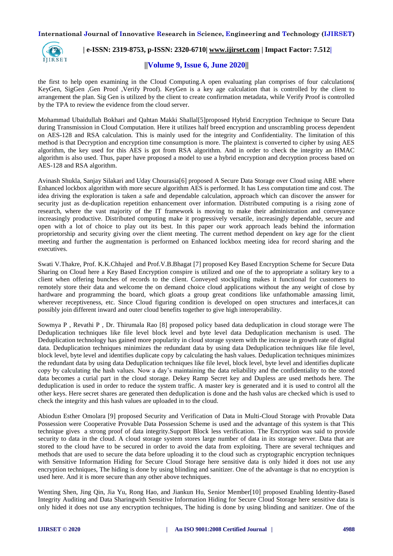

# **| e-ISSN: 2319-8753, p-ISSN: 2320-6710| [www.ijirset.com](http://www.ijirset.com/) | Impact Factor: 7.512|**

# **||Volume 9, Issue 6, June 2020||**

the first to help open examining in the Cloud Computing.A open evaluating plan comprises of four calculations( KeyGen, SigGen ,Gen Proof ,Verify Proof). KeyGen is a key age calculation that is controlled by the client to arrangement the plan. Sig Gen is utilized by the client to create confirmation metadata, while Verify Proof is controlled by the TPA to review the evidence from the cloud server.

Mohammad Ubaidullah Bokhari and Qahtan Makki Shallal[5]proposed Hybrid Encryption Technique to Secure Data during Transmission in Cloud Computation. Here it utilizes half breed encryption and unscrambling process dependent on AES-128 and RSA calculation. This is mainly used for the integrity and Confidentiality. The limitation of this method is that Decryption and encryption time consumption is more. The plaintext is converted to cipher by using AES algorithm, the key used for this AES is got from RSA algorithm. And in order to check the integrity an HMAC algorithm is also used. Thus, paper have proposed a model to use a hybrid encryption and decryption process based on AES-128 and RSA algorithm.

Avinash Shukla, Sanjay Silakari and Uday Chourasia[6] proposed A Secure Data Storage over Cloud using ABE where Enhanced lockbox algorithm with more secure algorithm AES is performed. It has Less computation time and cost. The idea driving the exploration is taken a safe and dependable calculation, approach which can discover the answer for security just as de-duplication repetition enhancement over information. Distributed computing is a rising zone of research, where the vast majority of the IT framework is moving to make their administration and conveyance increasingly productive. Distributed computing make it progressively versatile, increasingly dependable, secure and open with a lot of choice to play out its best. In this paper our work approach leads behind the information proprietorship and security giving over the client meeting. The current method dependent on key age for the client meeting and further the augmentation is performed on Enhanced lockbox meeting idea for record sharing and the executives.

Swati V.Thakre, Prof. K.K.Chhajed and Prof.V.B.Bhagat [7] proposed Key Based Encryption Scheme for Secure Data Sharing on Cloud here a Key Based Encryption conspire is utilized and one of the to appropriate a solitary key to a client when offering bunches of records to the client. Conveyed stockpiling makes it functional for customers to remotely store their data and welcome the on demand choice cloud applications without the any weight of close by hardware and programming the board, which gloats a group great conditions like unfathomable amassing limit, wherever receptiveness, etc. Since Cloud figuring condition is developed on open structures and interfaces,it can possibly join different inward and outer cloud benefits together to give high interoperability.

Sowmya P , Revathi P , Dr. Thirumala Rao [8] proposed policy based data deduplication in cloud storage were The Deduplication techniques like file level block level and byte level data Deduplication mechanism is used. The Deduplication technology has gained more popularity in cloud storage system with the increase in growth rate of digital data. Deduplication techniques minimizes the redundant data by using data Deduplication techniques like file level, block level, byte level and identifies duplicate copy by calculating the hash values. Deduplication techniques minimizes the redundant data by using data Deduplication techniques like file level, block level, byte level and identifies duplicate copy by calculating the hash values. Now a day's maintaining the data reliability and the confidentiality to the stored data becomes a curial part in the cloud storage. Dekey Ramp Secret key and Dupless are used methods here. The deduplication is used in order to reduce the system traffic. A master key is generated and it is used to control all the other keys. Here secret shares are generated then deduplication is done and the hash valus are checked which is used to check the integrity and this hash values are uploaded in to the cloud.

Abiodun Esther Omolara [9] proposed Security and Verification of Data in Multi-Cloud Storage with Provable Data Possession were Cooperative Provable Data Possession Scheme is used and the advantage of this system is that This technique gives a strong proof of data integrity.Support Block less verification. The Encryption was said to provide security to data in the cloud. A cloud storage system stores large number of data in its storage server. Data that are stored to the cloud have to be secured in order to avoid the data from exploiting. There are several techniques and methods that are used to secure the data before uploading it to the cloud such as cryptographic encryption techniques with Sensitive Information Hiding for Secure Cloud Storage here sensitive data is only hided it does not use any encryption techniques, The hiding is done by using blinding and sanitizer. One of the advantage is that no encryption is used here. And it is more secure than any other above techniques.

Wenting Shen, Jing Qin, Jia Yu, Rong Hao, and Jiankun Hu, Senior Member[10] proposed Enabling Identity-Based Integrity Auditing and Data Sharingwith Sensitive Information Hiding for Secure Cloud Storage here sensitive data is only hided it does not use any encryption techniques, The hiding is done by using blinding and sanitizer. One of the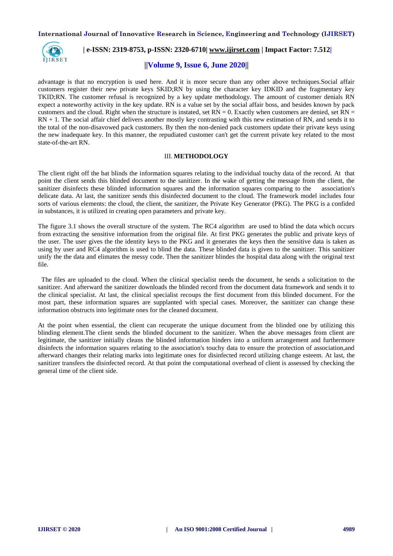

# **| e-ISSN: 2319-8753, p-ISSN: 2320-6710| [www.ijirset.com](http://www.ijirset.com/) | Impact Factor: 7.512|**

# **||Volume 9, Issue 6, June 2020||**

advantage is that no encryption is used here. And it is more secure than any other above techniques.Social affair customers register their new private keys SKID;RN by using the character key IDKID and the fragmentary key TKID;RN. The customer refusal is recognized by a key update methodology. The amount of customer denials RN expect a noteworthy activity in the key update. RN is a value set by the social affair boss, and besides known by pack customers and the cloud. Right when the structure is instated, set  $RN = 0$ . Exactly when customers are denied, set  $RN =$  $RN + 1$ . The social affair chief delivers another mostly key contrasting with this new estimation of RN, and sends it to the total of the non-disavowed pack customers. By then the non-denied pack customers update their private keys using the new inadequate key. In this manner, the repudiated customer can't get the current private key related to the most state-of-the-art RN.

# III. **METHODOLOGY**

The client right off the bat blinds the information squares relating to the individual touchy data of the record. At that point the client sends this blinded document to the sanitizer. In the wake of getting the message from the client, the sanitizer disinfects these blinded information squares and the information squares comparing to the association's delicate data. At last, the sanitizer sends this disinfected document to the cloud. The framework model includes four sorts of various elements: the cloud, the client, the sanitizer, the Private Key Generator (PKG). The PKG is a confided in substances, it is utilized in creating open parameters and private key.

The figure 3.1 shows the overall structure of the system. The RC4 algorithm are used to blind the data which occurs from extracting the sensitive information from the original file. At first PKG generates the public and private keys of the user. The user gives the the identity keys to the PKG and it generates the keys then the sensitive data is taken as using by user and RC4 algorithm is used to blind the data. These blinded data is given to the sanitizer. This sanitizer unify the the data and elimates the messy code. Then the sanitizer blindes the hospital data along with the original text file.

 The files are uploaded to the cloud. When the clinical specialist needs the document, he sends a solicitation to the sanitizer. And afterward the sanitizer downloads the blinded record from the document data framework and sends it to the clinical specialist. At last, the clinical specialist recoups the first document from this blinded document. For the most part, these information squares are supplanted with special cases. Moreover, the sanitizer can change these information obstructs into legitimate ones for the cleaned document.

At the point when essential, the client can recuperate the unique document from the blinded one by utilizing this blinding element.The client sends the blinded document to the sanitizer. When the above messages from client are legitimate, the sanitizer initially cleans the blinded information hinders into a uniform arrangement and furthermore disinfects the information squares relating to the association's touchy data to ensure the protection of association,and afterward changes their relating marks into legitimate ones for disinfected record utilizing change esteem. At last, the sanitizer transfers the disinfected record. At that point the computational overhead of client is assessed by checking the general time of the client side.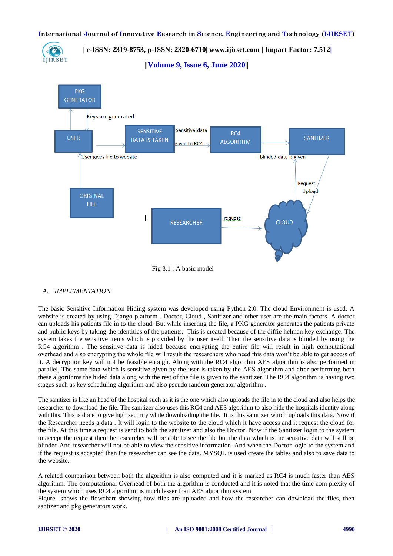

 **| e-ISSN: 2319-8753, p-ISSN: 2320-6710| [www.ijirset.com](http://www.ijirset.com/) | Impact Factor: 7.512|**

**||Volume 9, Issue 6, June 2020||** 



# *A. IMPLEMENTATION*

The basic Sensitive Information Hiding system was developed using Python 2.0. The cloud Environment is used. A website is created by using Django platform . Doctor, Cloud , Sanitizer and other user are the main factors. A doctor can uploads his patients file in to the cloud. But while inserting the file, a PKG generator generates the patients private and public keys by taking the identities of the patients. This is created because of the diffie helman key exchange. The system takes the sensitive items which is provided by the user itself. Then the sensitive data is blinded by using the RC4 algorithm . The sensitive data is hided because encrypting the entire file will result in high computational overhead and also encrypting the whole file will result the researchers who need this data won't be able to get access of it. A decryption key will not be feasible enough. Along with the RC4 algorithm AES algorithm is also performed in parallel, The same data which is sensitive given by the user is taken by the AES algorithm and after performing both these algorithms the hided data along with the rest of the file is given to the sanitizer. The RC4 algorithm is having two stages such as key scheduling algorithm and also pseudo random generator algorithm .

The sanitizer is like an head of the hospital such as it is the one which also uploads the file in to the cloud and also helps the researcher to download the file. The sanitizer also uses this RC4 and AES algorithm to also hide the hospitals identity along with this. This is done to give high security while downloading the file. It is this sanitizer which uploads this data. Now if the Researcher needs a data . It will login to the website to the cloud which it have access and it request the cloud for the file. At this time a request is send to both the sanitizer and also the Doctor. Now if the Sanitizer login to the system to accept the request then the researcher will be able to see the file but the data which is the sensitive data will still be blinded And researcher will not be able to view the sensitive information. And when the Doctor login to the system and if the request is accepted then the researcher can see the data. MYSQL is used create the tables and also to save data to the website.

A related comparison between both the algorithm is also computed and it is marked as RC4 is much faster than AES algorithm. The computational Overhead of both the algorithm is conducted and it is noted that the time com plexity of the system which uses RC4 algorithm is much lesser than AES algorithm system.

Figure shows the flowchart showing how files are uploaded and how the researcher can download the files, then santizer and pkg generators work.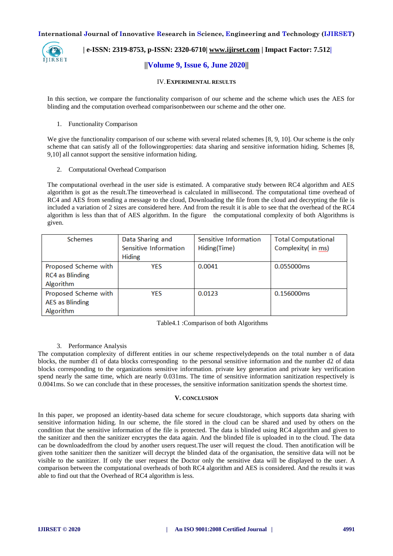

 **| e-ISSN: 2319-8753, p-ISSN: 2320-6710| [www.ijirset.com](http://www.ijirset.com/) | Impact Factor: 7.512|**

# **||Volume 9, Issue 6, June 2020||**

# IV.**EXPERIMENTAL RESULTS**

In this section, we compare the functionality comparison of our scheme and the scheme which uses the AES for blinding and the computation overhead comparisonbetween our scheme and the other one.

# 1. Functionality Comparison

We give the functionality comparison of our scheme with several related schemes [8, 9, 10]. Our scheme is the only scheme that can satisfy all of the followingproperties: data sharing and sensitive information hiding. Schemes [8, 9,10] all cannot support the sensitive information hiding.

2. Computational Overhead Comparison

The computational overhead in the user side is estimated. A comparative study between RC4 algorithm and AES algorithm is got as the result.The timeoverhead is calculated in millisecond. The computational time overhead of RC4 and AES from sending a message to the cloud, Downloading the file from the cloud and decrypting the file is included a variation of 2 sizes are considered here. And from the result it is able to see that the overhead of the RC4 algorithm is less than that of AES algorithm. In the figure the computational complexity of both Algorithms is given.

| <b>Schemes</b>         | Data Sharing and      | Sensitive Information | <b>Total Computational</b> |
|------------------------|-----------------------|-----------------------|----------------------------|
|                        | Sensitive Information | Hiding(Time)          | Complexity( in ms)         |
|                        | <b>Hiding</b>         |                       |                            |
| Proposed Scheme with   | <b>YES</b>            | 0.0041                | 0.055000ms                 |
| <b>RC4 as Blinding</b> |                       |                       |                            |
| Algorithm              |                       |                       |                            |
| Proposed Scheme with   | <b>YES</b>            | 0.0123                | 0.156000ms                 |
| <b>AES</b> as Blinding |                       |                       |                            |
| Algorithm              |                       |                       |                            |

# Table4.1 :Comparison of both Algorithms

# 3. Performance Analysis

The computation complexity of different entities in our scheme respectivelydepends on the total number n of data blocks, the number d1 of data blocks corresponding to the personal sensitive information and the number d2 of data blocks corresponding to the organizations sensitive information. private key generation and private key verification spend nearly the same time, which are nearly 0.031ms. The time of sensitive information sanitization respectively is 0.0041ms. So we can conclude that in these processes, the sensitive information sanitization spends the shortest time.

# **V. CONCLUSION**

In this paper, we proposed an identity-based data scheme for secure cloudstorage, which supports data sharing with sensitive information hiding. In our scheme, the file stored in the cloud can be shared and used by others on the condition that the sensitive information of the file is protected. The data is blinded using RC4 algorithm and given to the sanitizer and then the sanitizer encryptes the data again. And the blinded file is uploaded in to the cloud. The data can be downloadedfrom the cloud by another users request.The user will request the cloud. Then anotification will be given tothe sanitizer then the sanitizer will decrypt the blinded data of the organisation, the sensitive data will not be visible to the sanitizer. If only the user request the Doctor only the sensitive data will be displayed to the user. A comparison between the computational overheads of both RC4 algorithm and AES is considered. And the results it was able to find out that the Overhead of RC4 algorithm is less.